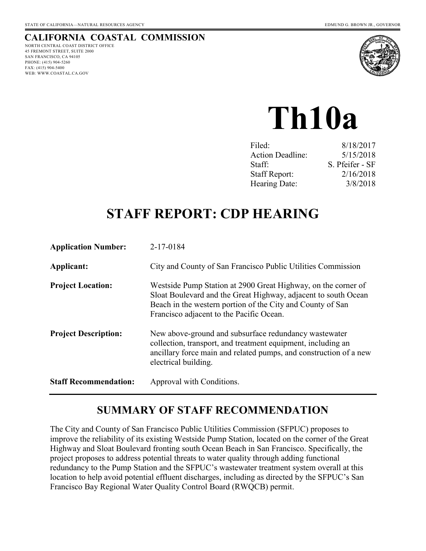# **CALIFORNIA COASTAL COMMISSION**

NORTH CENTRAL COAST DISTRICT OFFICE 45 FREMONT STREET, SUITE 2000 SAN FRANCISCO, CA 94105 PHONE: (415) 904-5260 FAX: (415) 904-5400 WEB: WWW.COASTAL.CA.GOV



# **Th10a**

| 8/18/2017       |
|-----------------|
| 5/15/2018       |
| S. Pfeifer - SF |
| 2/16/2018       |
| 3/8/2018        |
|                 |

# **STAFF REPORT: CDP HEARING**

| <b>Application Number:</b>   | 2-17-0184                                                                                                                                                                                                                                 |
|------------------------------|-------------------------------------------------------------------------------------------------------------------------------------------------------------------------------------------------------------------------------------------|
| Applicant:                   | City and County of San Francisco Public Utilities Commission                                                                                                                                                                              |
| <b>Project Location:</b>     | Westside Pump Station at 2900 Great Highway, on the corner of<br>Sloat Boulevard and the Great Highway, adjacent to south Ocean<br>Beach in the western portion of the City and County of San<br>Francisco adjacent to the Pacific Ocean. |
| <b>Project Description:</b>  | New above-ground and subsurface redundancy wastewater<br>collection, transport, and treatment equipment, including an<br>ancillary force main and related pumps, and construction of a new<br>electrical building.                        |
| <b>Staff Recommendation:</b> | Approval with Conditions.                                                                                                                                                                                                                 |

# **SUMMARY OF STAFF RECOMMENDATION**

The City and County of San Francisco Public Utilities Commission (SFPUC) proposes to improve the reliability of its existing Westside Pump Station, located on the corner of the Great Highway and Sloat Boulevard fronting south Ocean Beach in San Francisco. Specifically, the project proposes to address potential threats to water quality through adding functional redundancy to the Pump Station and the SFPUC's wastewater treatment system overall at this location to help avoid potential effluent discharges, including as directed by the SFPUC's San Francisco Bay Regional Water Quality Control Board (RWQCB) permit.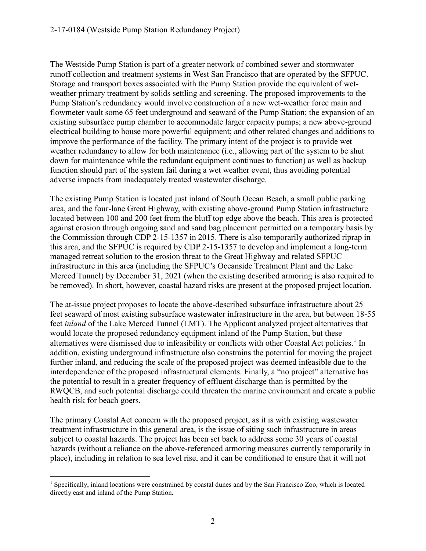The Westside Pump Station is part of a greater network of combined sewer and stormwater runoff collection and treatment systems in West San Francisco that are operated by the SFPUC. Storage and transport boxes associated with the Pump Station provide the equivalent of wetweather primary treatment by solids settling and screening. The proposed improvements to the Pump Station's redundancy would involve construction of a new wet-weather force main and flowmeter vault some 65 feet underground and seaward of the Pump Station; the expansion of an existing subsurface pump chamber to accommodate larger capacity pumps; a new above-ground electrical building to house more powerful equipment; and other related changes and additions to improve the performance of the facility. The primary intent of the project is to provide wet weather redundancy to allow for both maintenance (i.e., allowing part of the system to be shut down for maintenance while the redundant equipment continues to function) as well as backup function should part of the system fail during a wet weather event, thus avoiding potential adverse impacts from inadequately treated wastewater discharge.

The existing Pump Station is located just inland of South Ocean Beach, a small public parking area, and the four-lane Great Highway, with existing above-ground Pump Station infrastructure located between 100 and 200 feet from the bluff top edge above the beach. This area is protected against erosion through ongoing sand and sand bag placement permitted on a temporary basis by the Commission through CDP 2-15-1357 in 2015. There is also temporarily authorized riprap in this area, and the SFPUC is required by CDP 2-15-1357 to develop and implement a long-term managed retreat solution to the erosion threat to the Great Highway and related SFPUC infrastructure in this area (including the SFPUC's Oceanside Treatment Plant and the Lake Merced Tunnel) by December 31, 2021 (when the existing described armoring is also required to be removed). In short, however, coastal hazard risks are present at the proposed project location.

The at-issue project proposes to locate the above-described subsurface infrastructure about 25 feet seaward of most existing subsurface wastewater infrastructure in the area, but between 18-55 feet *inland* of the Lake Merced Tunnel (LMT). The Applicant analyzed project alternatives that would locate the proposed redundancy equipment inland of the Pump Station, but these alternatives were dismissed due to infeasibility or conflicts with other Coastal Act policies.<sup>1</sup> In addition, existing underground infrastructure also constrains the potential for moving the project further inland, and reducing the scale of the proposed project was deemed infeasible due to the interdependence of the proposed infrastructural elements. Finally, a "no project" alternative has the potential to result in a greater frequency of effluent discharge than is permitted by the RWQCB, and such potential discharge could threaten the marine environment and create a public health risk for beach goers.

The primary Coastal Act concern with the proposed project, as it is with existing wastewater treatment infrastructure in this general area, is the issue of siting such infrastructure in areas subject to coastal hazards. The project has been set back to address some 30 years of coastal hazards (without a reliance on the above-referenced armoring measures currently temporarily in place), including in relation to sea level rise, and it can be conditioned to ensure that it will not

 $\overline{a}$ <sup>1</sup> Specifically, inland locations were constrained by coastal dunes and by the San Francisco Zoo, which is located directly east and inland of the Pump Station.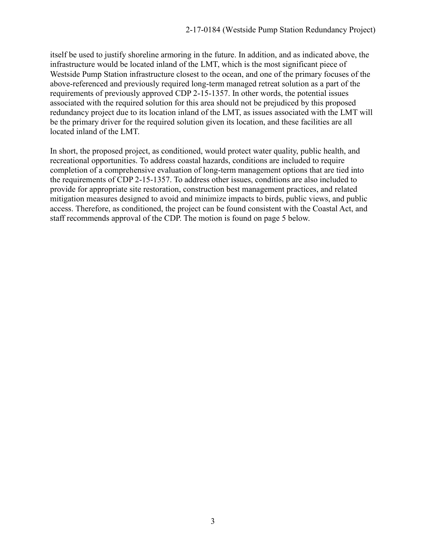itself be used to justify shoreline armoring in the future. In addition, and as indicated above, the infrastructure would be located inland of the LMT, which is the most significant piece of Westside Pump Station infrastructure closest to the ocean, and one of the primary focuses of the above-referenced and previously required long-term managed retreat solution as a part of the requirements of previously approved CDP 2-15-1357. In other words, the potential issues associated with the required solution for this area should not be prejudiced by this proposed redundancy project due to its location inland of the LMT, as issues associated with the LMT will be the primary driver for the required solution given its location, and these facilities are all located inland of the LMT.

In short, the proposed project, as conditioned, would protect water quality, public health, and recreational opportunities. To address coastal hazards, conditions are included to require completion of a comprehensive evaluation of long-term management options that are tied into the requirements of CDP 2-15-1357. To address other issues, conditions are also included to provide for appropriate site restoration, construction best management practices, and related mitigation measures designed to avoid and minimize impacts to birds, public views, and public access. Therefore, as conditioned, the project can be found consistent with the Coastal Act, and staff recommends approval of the CDP. The motion is found on page 5 below.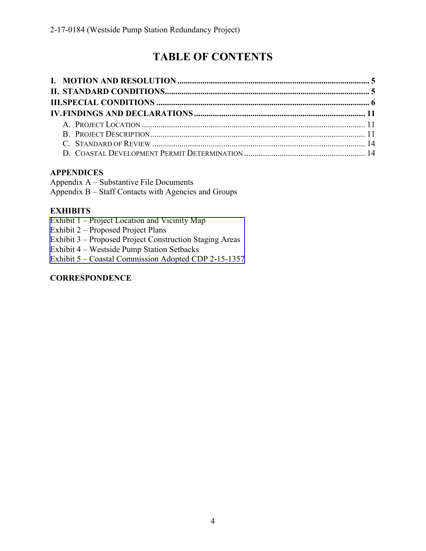# **TABLE OF CONTENTS**

#### **APPENDICES**

Appendix A – Substantive File Documents Appendix B – Staff Contacts with Agencies and Groups

#### **EXHIBITS**

Exhibit 1 – Project Location and Vicinity Map

Exhibit 2 – Proposed Project Plans

Exhibit 3 – [Proposed Project Construction Staging Areas](https://documents.coastal.ca.gov/reports/2018/3/Th10a/Th10a-3-2018-exhibits.pdf) 

Exhibit 4 – Westside Pump Station Setbacks

Exhibit 5 – Coastal Commission Adopted CDP 2-15-1357

#### **CORRESPONDENCE**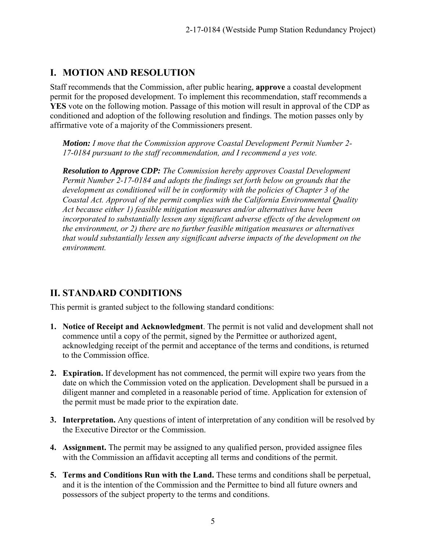# **I. MOTION AND RESOLUTION**

Staff recommends that the Commission, after public hearing, **approve** a coastal development permit for the proposed development. To implement this recommendation, staff recommends a **YES** vote on the following motion. Passage of this motion will result in approval of the CDP as conditioned and adoption of the following resolution and findings. The motion passes only by affirmative vote of a majority of the Commissioners present.

*Motion: I move that the Commission approve Coastal Development Permit Number 2- 17-0184 pursuant to the staff recommendation, and I recommend a yes vote.* 

*Resolution to Approve CDP: The Commission hereby approves Coastal Development Permit Number 2-17-0184 and adopts the findings set forth below on grounds that the development as conditioned will be in conformity with the policies of Chapter 3 of the Coastal Act. Approval of the permit complies with the California Environmental Quality Act because either 1) feasible mitigation measures and/or alternatives have been incorporated to substantially lessen any significant adverse effects of the development on the environment, or 2) there are no further feasible mitigation measures or alternatives that would substantially lessen any significant adverse impacts of the development on the environment.* 

# **II. STANDARD CONDITIONS**

This permit is granted subject to the following standard conditions:

- **1. Notice of Receipt and Acknowledgment**. The permit is not valid and development shall not commence until a copy of the permit, signed by the Permittee or authorized agent, acknowledging receipt of the permit and acceptance of the terms and conditions, is returned to the Commission office.
- **2. Expiration.** If development has not commenced, the permit will expire two years from the date on which the Commission voted on the application. Development shall be pursued in a diligent manner and completed in a reasonable period of time. Application for extension of the permit must be made prior to the expiration date.
- **3. Interpretation.** Any questions of intent of interpretation of any condition will be resolved by the Executive Director or the Commission.
- **4. Assignment.** The permit may be assigned to any qualified person, provided assignee files with the Commission an affidavit accepting all terms and conditions of the permit.
- **5. Terms and Conditions Run with the Land.** These terms and conditions shall be perpetual, and it is the intention of the Commission and the Permittee to bind all future owners and possessors of the subject property to the terms and conditions.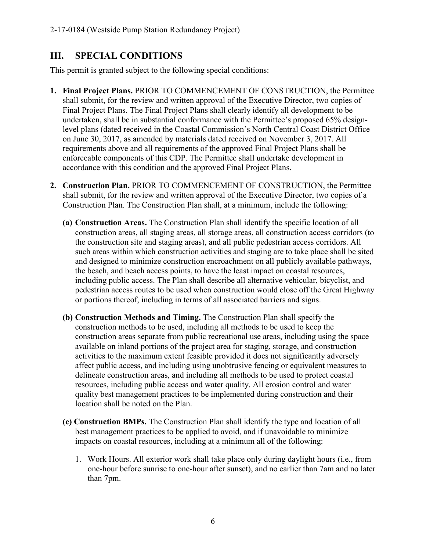# **III. SPECIAL CONDITIONS**

This permit is granted subject to the following special conditions:

- **1. Final Project Plans.** PRIOR TO COMMENCEMENT OF CONSTRUCTION, the Permittee shall submit, for the review and written approval of the Executive Director, two copies of Final Project Plans. The Final Project Plans shall clearly identify all development to be undertaken, shall be in substantial conformance with the Permittee's proposed 65% designlevel plans (dated received in the Coastal Commission's North Central Coast District Office on June 30, 2017, as amended by materials dated received on November 3, 2017. All requirements above and all requirements of the approved Final Project Plans shall be enforceable components of this CDP. The Permittee shall undertake development in accordance with this condition and the approved Final Project Plans.
- **2. Construction Plan.** PRIOR TO COMMENCEMENT OF CONSTRUCTION, the Permittee shall submit, for the review and written approval of the Executive Director, two copies of a Construction Plan. The Construction Plan shall, at a minimum, include the following:
	- **(a) Construction Areas.** The Construction Plan shall identify the specific location of all construction areas, all staging areas, all storage areas, all construction access corridors (to the construction site and staging areas), and all public pedestrian access corridors. All such areas within which construction activities and staging are to take place shall be sited and designed to minimize construction encroachment on all publicly available pathways, the beach, and beach access points, to have the least impact on coastal resources, including public access. The Plan shall describe all alternative vehicular, bicyclist, and pedestrian access routes to be used when construction would close off the Great Highway or portions thereof, including in terms of all associated barriers and signs.
	- **(b) Construction Methods and Timing.** The Construction Plan shall specify the construction methods to be used, including all methods to be used to keep the construction areas separate from public recreational use areas, including using the space available on inland portions of the project area for staging, storage, and construction activities to the maximum extent feasible provided it does not significantly adversely affect public access, and including using unobtrusive fencing or equivalent measures to delineate construction areas, and including all methods to be used to protect coastal resources, including public access and water quality. All erosion control and water quality best management practices to be implemented during construction and their location shall be noted on the Plan.
	- **(c) Construction BMPs.** The Construction Plan shall identify the type and location of all best management practices to be applied to avoid, and if unavoidable to minimize impacts on coastal resources, including at a minimum all of the following:
		- 1. Work Hours. All exterior work shall take place only during daylight hours (i.e., from one-hour before sunrise to one-hour after sunset), and no earlier than 7am and no later than 7pm.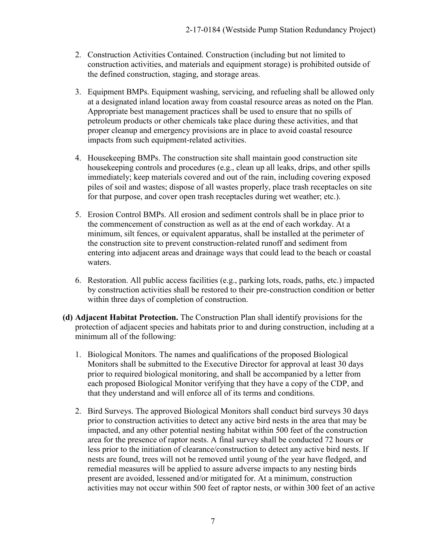- 2. Construction Activities Contained. Construction (including but not limited to construction activities, and materials and equipment storage) is prohibited outside of the defined construction, staging, and storage areas.
- 3. Equipment BMPs. Equipment washing, servicing, and refueling shall be allowed only at a designated inland location away from coastal resource areas as noted on the Plan. Appropriate best management practices shall be used to ensure that no spills of petroleum products or other chemicals take place during these activities, and that proper cleanup and emergency provisions are in place to avoid coastal resource impacts from such equipment-related activities.
- 4. Housekeeping BMPs. The construction site shall maintain good construction site housekeeping controls and procedures (e.g., clean up all leaks, drips, and other spills immediately; keep materials covered and out of the rain, including covering exposed piles of soil and wastes; dispose of all wastes properly, place trash receptacles on site for that purpose, and cover open trash receptacles during wet weather; etc.).
- 5. Erosion Control BMPs. All erosion and sediment controls shall be in place prior to the commencement of construction as well as at the end of each workday. At a minimum, silt fences, or equivalent apparatus, shall be installed at the perimeter of the construction site to prevent construction-related runoff and sediment from entering into adjacent areas and drainage ways that could lead to the beach or coastal waters.
- 6. Restoration. All public access facilities (e.g., parking lots, roads, paths, etc.) impacted by construction activities shall be restored to their pre-construction condition or better within three days of completion of construction.
- **(d) Adjacent Habitat Protection.** The Construction Plan shall identify provisions for the protection of adjacent species and habitats prior to and during construction, including at a minimum all of the following:
	- 1. Biological Monitors. The names and qualifications of the proposed Biological Monitors shall be submitted to the Executive Director for approval at least 30 days prior to required biological monitoring, and shall be accompanied by a letter from each proposed Biological Monitor verifying that they have a copy of the CDP, and that they understand and will enforce all of its terms and conditions.
	- 2. Bird Surveys. The approved Biological Monitors shall conduct bird surveys 30 days prior to construction activities to detect any active bird nests in the area that may be impacted, and any other potential nesting habitat within 500 feet of the construction area for the presence of raptor nests. A final survey shall be conducted 72 hours or less prior to the initiation of clearance/construction to detect any active bird nests. If nests are found, trees will not be removed until young of the year have fledged, and remedial measures will be applied to assure adverse impacts to any nesting birds present are avoided, lessened and/or mitigated for. At a minimum, construction activities may not occur within 500 feet of raptor nests, or within 300 feet of an active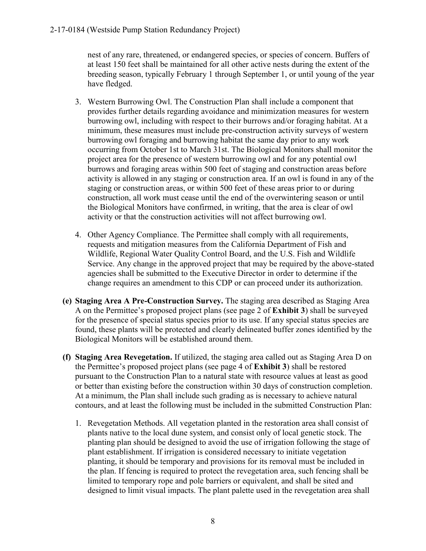nest of any rare, threatened, or endangered species, or species of concern. Buffers of at least 150 feet shall be maintained for all other active nests during the extent of the breeding season, typically February 1 through September 1, or until young of the year have fledged.

- 3. Western Burrowing Owl. The Construction Plan shall include a component that provides further details regarding avoidance and minimization measures for western burrowing owl, including with respect to their burrows and/or foraging habitat. At a minimum, these measures must include pre-construction activity surveys of western burrowing owl foraging and burrowing habitat the same day prior to any work occurring from October 1st to March 31st. The Biological Monitors shall monitor the project area for the presence of western burrowing owl and for any potential owl burrows and foraging areas within 500 feet of staging and construction areas before activity is allowed in any staging or construction area. If an owl is found in any of the staging or construction areas, or within 500 feet of these areas prior to or during construction, all work must cease until the end of the overwintering season or until the Biological Monitors have confirmed, in writing, that the area is clear of owl activity or that the construction activities will not affect burrowing owl.
- 4. Other Agency Compliance. The Permittee shall comply with all requirements, requests and mitigation measures from the California Department of Fish and Wildlife, Regional Water Quality Control Board, and the U.S. Fish and Wildlife Service. Any change in the approved project that may be required by the above-stated agencies shall be submitted to the Executive Director in order to determine if the change requires an amendment to this CDP or can proceed under its authorization.
- **(e) Staging Area A Pre-Construction Survey.** The staging area described as Staging Area A on the Permittee's proposed project plans (see page 2 of **Exhibit 3**) shall be surveyed for the presence of special status species prior to its use. If any special status species are found, these plants will be protected and clearly delineated buffer zones identified by the Biological Monitors will be established around them.
- **(f) Staging Area Revegetation.** If utilized, the staging area called out as Staging Area D on the Permittee's proposed project plans (see page 4 of **Exhibit 3**) shall be restored pursuant to the Construction Plan to a natural state with resource values at least as good or better than existing before the construction within 30 days of construction completion. At a minimum, the Plan shall include such grading as is necessary to achieve natural contours, and at least the following must be included in the submitted Construction Plan:
	- 1. Revegetation Methods. All vegetation planted in the restoration area shall consist of plants native to the local dune system, and consist only of local genetic stock. The planting plan should be designed to avoid the use of irrigation following the stage of plant establishment. If irrigation is considered necessary to initiate vegetation planting, it should be temporary and provisions for its removal must be included in the plan. If fencing is required to protect the revegetation area, such fencing shall be limited to temporary rope and pole barriers or equivalent, and shall be sited and designed to limit visual impacts. The plant palette used in the revegetation area shall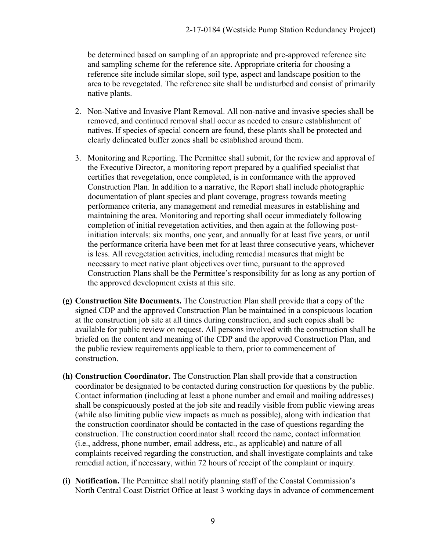be determined based on sampling of an appropriate and pre-approved reference site and sampling scheme for the reference site. Appropriate criteria for choosing a reference site include similar slope, soil type, aspect and landscape position to the area to be revegetated. The reference site shall be undisturbed and consist of primarily native plants.

- 2. Non-Native and Invasive Plant Removal. All non-native and invasive species shall be removed, and continued removal shall occur as needed to ensure establishment of natives. If species of special concern are found, these plants shall be protected and clearly delineated buffer zones shall be established around them.
- 3. Monitoring and Reporting. The Permittee shall submit, for the review and approval of the Executive Director, a monitoring report prepared by a qualified specialist that certifies that revegetation, once completed, is in conformance with the approved Construction Plan. In addition to a narrative, the Report shall include photographic documentation of plant species and plant coverage, progress towards meeting performance criteria, any management and remedial measures in establishing and maintaining the area. Monitoring and reporting shall occur immediately following completion of initial revegetation activities, and then again at the following postinitiation intervals: six months, one year, and annually for at least five years, or until the performance criteria have been met for at least three consecutive years, whichever is less. All revegetation activities, including remedial measures that might be necessary to meet native plant objectives over time, pursuant to the approved Construction Plans shall be the Permittee's responsibility for as long as any portion of the approved development exists at this site.
- **(g) Construction Site Documents.** The Construction Plan shall provide that a copy of the signed CDP and the approved Construction Plan be maintained in a conspicuous location at the construction job site at all times during construction, and such copies shall be available for public review on request. All persons involved with the construction shall be briefed on the content and meaning of the CDP and the approved Construction Plan, and the public review requirements applicable to them, prior to commencement of construction.
- **(h) Construction Coordinator.** The Construction Plan shall provide that a construction coordinator be designated to be contacted during construction for questions by the public. Contact information (including at least a phone number and email and mailing addresses) shall be conspicuously posted at the job site and readily visible from public viewing areas (while also limiting public view impacts as much as possible), along with indication that the construction coordinator should be contacted in the case of questions regarding the construction. The construction coordinator shall record the name, contact information (i.e., address, phone number, email address, etc., as applicable) and nature of all complaints received regarding the construction, and shall investigate complaints and take remedial action, if necessary, within 72 hours of receipt of the complaint or inquiry.
- **(i) Notification.** The Permittee shall notify planning staff of the Coastal Commission's North Central Coast District Office at least 3 working days in advance of commencement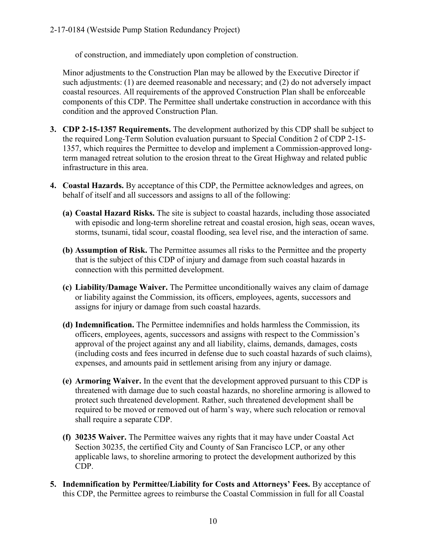of construction, and immediately upon completion of construction.

Minor adjustments to the Construction Plan may be allowed by the Executive Director if such adjustments: (1) are deemed reasonable and necessary; and (2) do not adversely impact coastal resources. All requirements of the approved Construction Plan shall be enforceable components of this CDP. The Permittee shall undertake construction in accordance with this condition and the approved Construction Plan.

- **3. CDP 2-15-1357 Requirements.** The development authorized by this CDP shall be subject to the required Long-Term Solution evaluation pursuant to Special Condition 2 of CDP 2-15- 1357, which requires the Permittee to develop and implement a Commission-approved longterm managed retreat solution to the erosion threat to the Great Highway and related public infrastructure in this area.
- **4. Coastal Hazards.** By acceptance of this CDP, the Permittee acknowledges and agrees, on behalf of itself and all successors and assigns to all of the following:
	- **(a) Coastal Hazard Risks.** The site is subject to coastal hazards, including those associated with episodic and long-term shoreline retreat and coastal erosion, high seas, ocean waves, storms, tsunami, tidal scour, coastal flooding, sea level rise, and the interaction of same.
	- **(b) Assumption of Risk.** The Permittee assumes all risks to the Permittee and the property that is the subject of this CDP of injury and damage from such coastal hazards in connection with this permitted development.
	- **(c) Liability/Damage Waiver.** The Permittee unconditionally waives any claim of damage or liability against the Commission, its officers, employees, agents, successors and assigns for injury or damage from such coastal hazards.
	- **(d) Indemnification.** The Permittee indemnifies and holds harmless the Commission, its officers, employees, agents, successors and assigns with respect to the Commission's approval of the project against any and all liability, claims, demands, damages, costs (including costs and fees incurred in defense due to such coastal hazards of such claims), expenses, and amounts paid in settlement arising from any injury or damage.
	- **(e) Armoring Waiver.** In the event that the development approved pursuant to this CDP is threatened with damage due to such coastal hazards, no shoreline armoring is allowed to protect such threatened development. Rather, such threatened development shall be required to be moved or removed out of harm's way, where such relocation or removal shall require a separate CDP.
	- **(f) 30235 Waiver.** The Permittee waives any rights that it may have under Coastal Act Section 30235, the certified City and County of San Francisco LCP, or any other applicable laws, to shoreline armoring to protect the development authorized by this CDP.
- **5. Indemnification by Permittee/Liability for Costs and Attorneys' Fees.** By acceptance of this CDP, the Permittee agrees to reimburse the Coastal Commission in full for all Coastal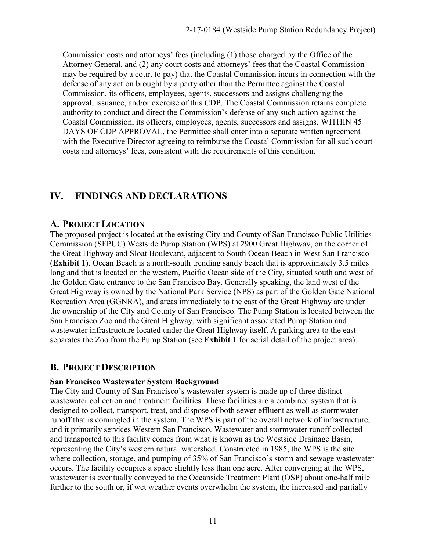Commission costs and attorneys' fees (including (1) those charged by the Office of the Attorney General, and (2) any court costs and attorneys' fees that the Coastal Commission may be required by a court to pay) that the Coastal Commission incurs in connection with the defense of any action brought by a party other than the Permittee against the Coastal Commission, its officers, employees, agents, successors and assigns challenging the approval, issuance, and/or exercise of this CDP. The Coastal Commission retains complete authority to conduct and direct the Commission's defense of any such action against the Coastal Commission, its officers, employees, agents, successors and assigns. WITHIN 45 DAYS OF CDP APPROVAL, the Permittee shall enter into a separate written agreement with the Executive Director agreeing to reimburse the Coastal Commission for all such court costs and attorneys' fees, consistent with the requirements of this condition.

# **IV. FINDINGS AND DECLARATIONS**

#### **A. PROJECT LOCATION**

The proposed project is located at the existing City and County of San Francisco Public Utilities Commission (SFPUC) Westside Pump Station (WPS) at 2900 Great Highway, on the corner of the Great Highway and Sloat Boulevard, adjacent to South Ocean Beach in West San Francisco (**Exhibit 1**). Ocean Beach is a north-south trending sandy beach that is approximately 3.5 miles long and that is located on the western, Pacific Ocean side of the City, situated south and west of the Golden Gate entrance to the San Francisco Bay. Generally speaking, the land west of the Great Highway is owned by the National Park Service (NPS) as part of the Golden Gate National Recreation Area (GGNRA), and areas immediately to the east of the Great Highway are under the ownership of the City and County of San Francisco. The Pump Station is located between the San Francisco Zoo and the Great Highway, with significant associated Pump Station and wastewater infrastructure located under the Great Highway itself. A parking area to the east separates the Zoo from the Pump Station (see **Exhibit 1** for aerial detail of the project area).

#### **B. PROJECT DESCRIPTION**

#### **San Francisco Wastewater System Background**

The City and County of San Francisco's wastewater system is made up of three distinct wastewater collection and treatment facilities. These facilities are a combined system that is designed to collect, transport, treat, and dispose of both sewer effluent as well as stormwater runoff that is comingled in the system. The WPS is part of the overall network of infrastructure, and it primarily services Western San Francisco. Wastewater and stormwater runoff collected and transported to this facility comes from what is known as the Westside Drainage Basin, representing the City's western natural watershed. Constructed in 1985, the WPS is the site where collection, storage, and pumping of 35% of San Francisco's storm and sewage wastewater occurs. The facility occupies a space slightly less than one acre. After converging at the WPS, wastewater is eventually conveyed to the Oceanside Treatment Plant (OSP) about one-half mile further to the south or, if wet weather events overwhelm the system, the increased and partially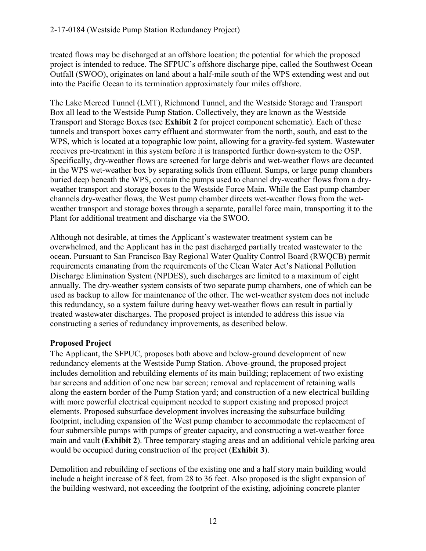treated flows may be discharged at an offshore location; the potential for which the proposed project is intended to reduce. The SFPUC's offshore discharge pipe, called the Southwest Ocean Outfall (SWOO), originates on land about a half-mile south of the WPS extending west and out into the Pacific Ocean to its termination approximately four miles offshore.

The Lake Merced Tunnel (LMT), Richmond Tunnel, and the Westside Storage and Transport Box all lead to the Westside Pump Station. Collectively, they are known as the Westside Transport and Storage Boxes (see **Exhibit 2** for project component schematic). Each of these tunnels and transport boxes carry effluent and stormwater from the north, south, and east to the WPS, which is located at a topographic low point, allowing for a gravity-fed system. Wastewater receives pre-treatment in this system before it is transported further down-system to the OSP. Specifically, dry-weather flows are screened for large debris and wet-weather flows are decanted in the WPS wet-weather box by separating solids from effluent. Sumps, or large pump chambers buried deep beneath the WPS, contain the pumps used to channel dry-weather flows from a dryweather transport and storage boxes to the Westside Force Main. While the East pump chamber channels dry-weather flows, the West pump chamber directs wet-weather flows from the wetweather transport and storage boxes through a separate, parallel force main, transporting it to the Plant for additional treatment and discharge via the SWOO.

Although not desirable, at times the Applicant's wastewater treatment system can be overwhelmed, and the Applicant has in the past discharged partially treated wastewater to the ocean. Pursuant to San Francisco Bay Regional Water Quality Control Board (RWQCB) permit requirements emanating from the requirements of the Clean Water Act's National Pollution Discharge Elimination System (NPDES), such discharges are limited to a maximum of eight annually. The dry-weather system consists of two separate pump chambers, one of which can be used as backup to allow for maintenance of the other. The wet-weather system does not include this redundancy, so a system failure during heavy wet-weather flows can result in partially treated wastewater discharges. The proposed project is intended to address this issue via constructing a series of redundancy improvements, as described below.

#### **Proposed Project**

The Applicant, the SFPUC, proposes both above and below-ground development of new redundancy elements at the Westside Pump Station. Above-ground, the proposed project includes demolition and rebuilding elements of its main building; replacement of two existing bar screens and addition of one new bar screen; removal and replacement of retaining walls along the eastern border of the Pump Station yard; and construction of a new electrical building with more powerful electrical equipment needed to support existing and proposed project elements. Proposed subsurface development involves increasing the subsurface building footprint, including expansion of the West pump chamber to accommodate the replacement of four submersible pumps with pumps of greater capacity, and constructing a wet-weather force main and vault (**Exhibit 2**). Three temporary staging areas and an additional vehicle parking area would be occupied during construction of the project (**Exhibit 3**).

Demolition and rebuilding of sections of the existing one and a half story main building would include a height increase of 8 feet, from 28 to 36 feet. Also proposed is the slight expansion of the building westward, not exceeding the footprint of the existing, adjoining concrete planter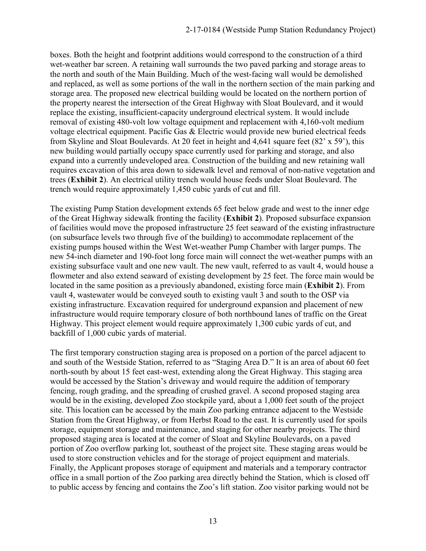boxes. Both the height and footprint additions would correspond to the construction of a third wet-weather bar screen. A retaining wall surrounds the two paved parking and storage areas to the north and south of the Main Building. Much of the west-facing wall would be demolished and replaced, as well as some portions of the wall in the northern section of the main parking and storage area. The proposed new electrical building would be located on the northern portion of the property nearest the intersection of the Great Highway with Sloat Boulevard, and it would replace the existing, insufficient-capacity underground electrical system. It would include removal of existing 480-volt low voltage equipment and replacement with 4,160-volt medium voltage electrical equipment. Pacific Gas & Electric would provide new buried electrical feeds from Skyline and Sloat Boulevards. At 20 feet in height and 4,641 square feet (82' x 59'), this new building would partially occupy space currently used for parking and storage, and also expand into a currently undeveloped area. Construction of the building and new retaining wall requires excavation of this area down to sidewalk level and removal of non-native vegetation and trees (**Exhibit 2**). An electrical utility trench would house feeds under Sloat Boulevard. The trench would require approximately 1,450 cubic yards of cut and fill.

The existing Pump Station development extends 65 feet below grade and west to the inner edge of the Great Highway sidewalk fronting the facility (**Exhibit 2**). Proposed subsurface expansion of facilities would move the proposed infrastructure 25 feet seaward of the existing infrastructure (on subsurface levels two through five of the building) to accommodate replacement of the existing pumps housed within the West Wet-weather Pump Chamber with larger pumps. The new 54-inch diameter and 190-foot long force main will connect the wet-weather pumps with an existing subsurface vault and one new vault. The new vault, referred to as vault 4, would house a flowmeter and also extend seaward of existing development by 25 feet. The force main would be located in the same position as a previously abandoned, existing force main (**Exhibit 2**). From vault 4, wastewater would be conveyed south to existing vault 3 and south to the OSP via existing infrastructure. Excavation required for underground expansion and placement of new infrastructure would require temporary closure of both northbound lanes of traffic on the Great Highway. This project element would require approximately 1,300 cubic yards of cut, and backfill of 1,000 cubic yards of material.

The first temporary construction staging area is proposed on a portion of the parcel adjacent to and south of the Westside Station, referred to as "Staging Area D." It is an area of about 60 feet north-south by about 15 feet east-west, extending along the Great Highway. This staging area would be accessed by the Station's driveway and would require the addition of temporary fencing, rough grading, and the spreading of crushed gravel. A second proposed staging area would be in the existing, developed Zoo stockpile yard, about a 1,000 feet south of the project site. This location can be accessed by the main Zoo parking entrance adjacent to the Westside Station from the Great Highway, or from Herbst Road to the east. It is currently used for spoils storage, equipment storage and maintenance, and staging for other nearby projects. The third proposed staging area is located at the corner of Sloat and Skyline Boulevards, on a paved portion of Zoo overflow parking lot, southeast of the project site. These staging areas would be used to store construction vehicles and for the storage of project equipment and materials. Finally, the Applicant proposes storage of equipment and materials and a temporary contractor office in a small portion of the Zoo parking area directly behind the Station, which is closed off to public access by fencing and contains the Zoo's lift station. Zoo visitor parking would not be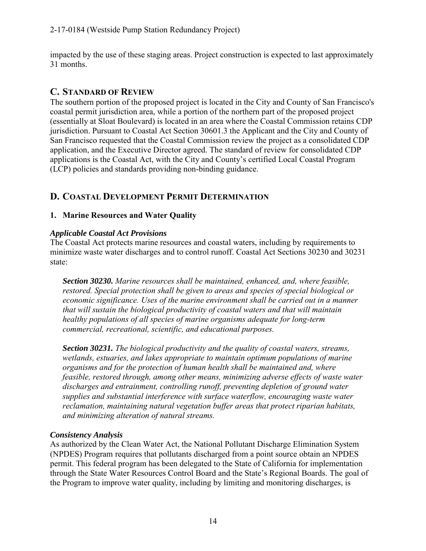impacted by the use of these staging areas. Project construction is expected to last approximately 31 months.

#### **C. STANDARD OF REVIEW**

The southern portion of the proposed project is located in the City and County of San Francisco's coastal permit jurisdiction area, while a portion of the northern part of the proposed project (essentially at Sloat Boulevard) is located in an area where the Coastal Commission retains CDP jurisdiction. Pursuant to Coastal Act Section 30601.3 the Applicant and the City and County of San Francisco requested that the Coastal Commission review the project as a consolidated CDP application, and the Executive Director agreed. The standard of review for consolidated CDP applications is the Coastal Act, with the City and County's certified Local Coastal Program (LCP) policies and standards providing non-binding guidance.

### **D. COASTAL DEVELOPMENT PERMIT DETERMINATION**

#### **1. Marine Resources and Water Quality**

#### *Applicable Coastal Act Provisions*

The Coastal Act protects marine resources and coastal waters, including by requirements to minimize waste water discharges and to control runoff. Coastal Act Sections 30230 and 30231 state:

*Section 30230. Marine resources shall be maintained, enhanced, and, where feasible, restored. Special protection shall be given to areas and species of special biological or economic significance. Uses of the marine environment shall be carried out in a manner that will sustain the biological productivity of coastal waters and that will maintain healthy populations of all species of marine organisms adequate for long-term commercial, recreational, scientific, and educational purposes.*

*Section 30231. The biological productivity and the quality of coastal waters, streams, wetlands, estuaries, and lakes appropriate to maintain optimum populations of marine organisms and for the protection of human health shall be maintained and, where feasible, restored through, among other means, minimizing adverse effects of waste water discharges and entrainment, controlling runoff, preventing depletion of ground water supplies and substantial interference with surface waterflow, encouraging waste water reclamation, maintaining natural vegetation buffer areas that protect riparian habitats, and minimizing alteration of natural streams.* 

#### *Consistency Analysis*

As authorized by the Clean Water Act, the National Pollutant Discharge Elimination System (NPDES) Program requires that pollutants discharged from a point source obtain an NPDES permit. This federal program has been delegated to the State of California for implementation through the State Water Resources Control Board and the State's Regional Boards. The goal of the Program to improve water quality, including by limiting and monitoring discharges, is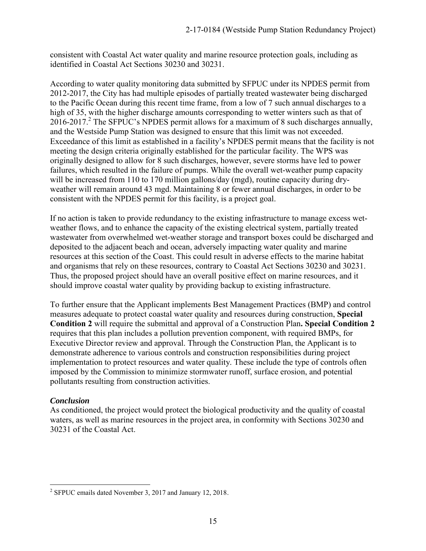consistent with Coastal Act water quality and marine resource protection goals, including as identified in Coastal Act Sections 30230 and 30231.

According to water quality monitoring data submitted by SFPUC under its NPDES permit from 2012-2017, the City has had multiple episodes of partially treated wastewater being discharged to the Pacific Ocean during this recent time frame, from a low of 7 such annual discharges to a high of 35, with the higher discharge amounts corresponding to wetter winters such as that of  $2016-2017$ .<sup>2</sup> The SFPUC's NPDES permit allows for a maximum of 8 such discharges annually, and the Westside Pump Station was designed to ensure that this limit was not exceeded. Exceedance of this limit as established in a facility's NPDES permit means that the facility is not meeting the design criteria originally established for the particular facility. The WPS was originally designed to allow for 8 such discharges, however, severe storms have led to power failures, which resulted in the failure of pumps. While the overall wet-weather pump capacity will be increased from 110 to 170 million gallons/day (mgd), routine capacity during dryweather will remain around 43 mgd. Maintaining 8 or fewer annual discharges, in order to be consistent with the NPDES permit for this facility, is a project goal.

If no action is taken to provide redundancy to the existing infrastructure to manage excess wetweather flows, and to enhance the capacity of the existing electrical system, partially treated wastewater from overwhelmed wet-weather storage and transport boxes could be discharged and deposited to the adjacent beach and ocean, adversely impacting water quality and marine resources at this section of the Coast. This could result in adverse effects to the marine habitat and organisms that rely on these resources, contrary to Coastal Act Sections 30230 and 30231. Thus, the proposed project should have an overall positive effect on marine resources, and it should improve coastal water quality by providing backup to existing infrastructure.

To further ensure that the Applicant implements Best Management Practices (BMP) and control measures adequate to protect coastal water quality and resources during construction, **Special Condition 2** will require the submittal and approval of a Construction Plan**. Special Condition 2** requires that this plan includes a pollution prevention component, with required BMPs, for Executive Director review and approval. Through the Construction Plan, the Applicant is to demonstrate adherence to various controls and construction responsibilities during project implementation to protect resources and water quality. These include the type of controls often imposed by the Commission to minimize stormwater runoff, surface erosion, and potential pollutants resulting from construction activities.

#### *Conclusion*

As conditioned, the project would protect the biological productivity and the quality of coastal waters, as well as marine resources in the project area, in conformity with Sections 30230 and 30231 of the Coastal Act.

 $\overline{a}$ <sup>2</sup> SFPUC emails dated November 3, 2017 and January 12, 2018.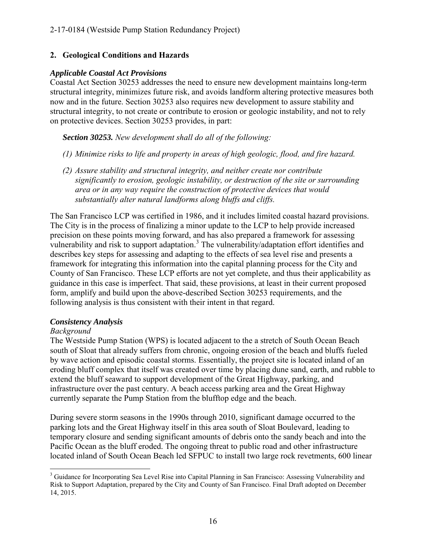#### **2. Geological Conditions and Hazards**

#### *Applicable Coastal Act Provisions*

Coastal Act Section 30253 addresses the need to ensure new development maintains long-term structural integrity, minimizes future risk, and avoids landform altering protective measures both now and in the future. Section 30253 also requires new development to assure stability and structural integrity, to not create or contribute to erosion or geologic instability, and not to rely on protective devices. Section 30253 provides, in part:

*Section 30253. New development shall do all of the following:* 

- *(1) Minimize risks to life and property in areas of high geologic, flood, and fire hazard.*
- *(2) Assure stability and structural integrity, and neither create nor contribute significantly to erosion, geologic instability, or destruction of the site or surrounding area or in any way require the construction of protective devices that would substantially alter natural landforms along bluffs and cliffs.*

The San Francisco LCP was certified in 1986, and it includes limited coastal hazard provisions. The City is in the process of finalizing a minor update to the LCP to help provide increased precision on these points moving forward, and has also prepared a framework for assessing vulnerability and risk to support adaptation.<sup>3</sup> The vulnerability/adaptation effort identifies and describes key steps for assessing and adapting to the effects of sea level rise and presents a framework for integrating this information into the capital planning process for the City and County of San Francisco. These LCP efforts are not yet complete, and thus their applicability as guidance in this case is imperfect. That said, these provisions, at least in their current proposed form, amplify and build upon the above-described Section 30253 requirements, and the following analysis is thus consistent with their intent in that regard.

#### *Consistency Analysis*

#### *Background*

The Westside Pump Station (WPS) is located adjacent to the a stretch of South Ocean Beach south of Sloat that already suffers from chronic, ongoing erosion of the beach and bluffs fueled by wave action and episodic coastal storms. Essentially, the project site is located inland of an eroding bluff complex that itself was created over time by placing dune sand, earth, and rubble to extend the bluff seaward to support development of the Great Highway, parking, and infrastructure over the past century. A beach access parking area and the Great Highway currently separate the Pump Station from the blufftop edge and the beach.

During severe storm seasons in the 1990s through 2010, significant damage occurred to the parking lots and the Great Highway itself in this area south of Sloat Boulevard, leading to temporary closure and sending significant amounts of debris onto the sandy beach and into the Pacific Ocean as the bluff eroded. The ongoing threat to public road and other infrastructure located inland of South Ocean Beach led SFPUC to install two large rock revetments, 600 linear

 $\overline{a}$ <sup>3</sup> Guidance for Incorporating Sea Level Rise into Capital Planning in San Francisco: Assessing Vulnerability and Risk to Support Adaptation, prepared by the City and County of San Francisco. Final Draft adopted on December 14, 2015.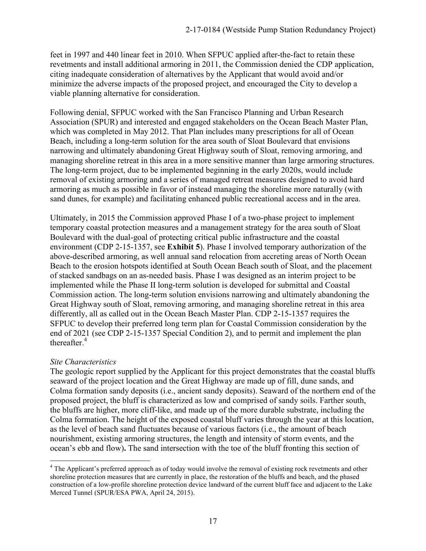feet in 1997 and 440 linear feet in 2010. When SFPUC applied after-the-fact to retain these revetments and install additional armoring in 2011, the Commission denied the CDP application, citing inadequate consideration of alternatives by the Applicant that would avoid and/or minimize the adverse impacts of the proposed project, and encouraged the City to develop a viable planning alternative for consideration.

Following denial, SFPUC worked with the San Francisco Planning and Urban Research Association (SPUR) and interested and engaged stakeholders on the Ocean Beach Master Plan, which was completed in May 2012. That Plan includes many prescriptions for all of Ocean Beach, including a long-term solution for the area south of Sloat Boulevard that envisions narrowing and ultimately abandoning Great Highway south of Sloat, removing armoring, and managing shoreline retreat in this area in a more sensitive manner than large armoring structures. The long-term project, due to be implemented beginning in the early 2020s, would include removal of existing armoring and a series of managed retreat measures designed to avoid hard armoring as much as possible in favor of instead managing the shoreline more naturally (with sand dunes, for example) and facilitating enhanced public recreational access and in the area.

Ultimately, in 2015 the Commission approved Phase I of a two-phase project to implement temporary coastal protection measures and a management strategy for the area south of Sloat Boulevard with the dual-goal of protecting critical public infrastructure and the coastal environment (CDP 2-15-1357, see **Exhibit 5**). Phase I involved temporary authorization of the above-described armoring, as well annual sand relocation from accreting areas of North Ocean Beach to the erosion hotspots identified at South Ocean Beach south of Sloat, and the placement of stacked sandbags on an as-needed basis. Phase I was designed as an interim project to be implemented while the Phase II long-term solution is developed for submittal and Coastal Commission action. The long-term solution envisions narrowing and ultimately abandoning the Great Highway south of Sloat, removing armoring, and managing shoreline retreat in this area differently, all as called out in the Ocean Beach Master Plan. CDP 2-15-1357 requires the SFPUC to develop their preferred long term plan for Coastal Commission consideration by the end of 2021 (see CDP 2-15-1357 Special Condition 2), and to permit and implement the plan thereafter  $4$ 

#### *Site Characteristics*

The geologic report supplied by the Applicant for this project demonstrates that the coastal bluffs seaward of the project location and the Great Highway are made up of fill, dune sands, and Colma formation sandy deposits (i.e., ancient sandy deposits). Seaward of the northern end of the proposed project, the bluff is characterized as low and comprised of sandy soils. Farther south, the bluffs are higher, more cliff-like, and made up of the more durable substrate, including the Colma formation. The height of the exposed coastal bluff varies through the year at this location, as the level of beach sand fluctuates because of various factors (i.e., the amount of beach nourishment, existing armoring structures, the length and intensity of storm events, and the ocean's ebb and flow)**.** The sand intersection with the toe of the bluff fronting this section of

 $\overline{a}$ <sup>4</sup> The Applicant's preferred approach as of today would involve the removal of existing rock revetments and other shoreline protection measures that are currently in place, the restoration of the bluffs and beach, and the phased construction of a low-profile shoreline protection device landward of the current bluff face and adjacent to the Lake Merced Tunnel (SPUR/ESA PWA, April 24, 2015).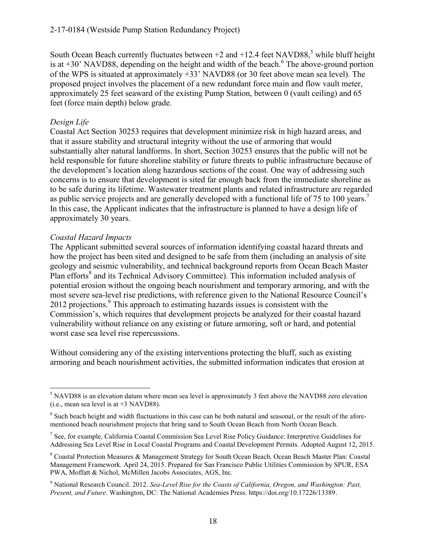#### 2-17-0184 (Westside Pump Station Redundancy Project)

South Ocean Beach currently fluctuates between  $+2$  and  $+12.4$  feet NAVD88,<sup>5</sup> while bluff height is at  $+30$ ' NAVD88, depending on the height and width of the beach.<sup>6</sup> The above-ground portion of the WPS is situated at approximately +33' NAVD88 (or 30 feet above mean sea level). The proposed project involves the placement of a new redundant force main and flow vault meter, approximately 25 feet seaward of the existing Pump Station, between 0 (vault ceiling) and 65 feet (force main depth) below grade.

#### *Design Life*

Coastal Act Section 30253 requires that development minimize risk in high hazard areas, and that it assure stability and structural integrity without the use of armoring that would substantially alter natural landforms. In short, Section 30253 ensures that the public will not be held responsible for future shoreline stability or future threats to public infrastructure because of the development's location along hazardous sections of the coast. One way of addressing such concerns is to ensure that development is sited far enough back from the immediate shoreline as to be safe during its lifetime. Wastewater treatment plants and related infrastructure are regarded as public service projects and are generally developed with a functional life of 75 to 100 years.<sup>7</sup> In this case, the Applicant indicates that the infrastructure is planned to have a design life of approximately 30 years.

#### *Coastal Hazard Impacts*

The Applicant submitted several sources of information identifying coastal hazard threats and how the project has been sited and designed to be safe from them (including an analysis of site geology and seismic vulnerability, and technical background reports from Ocean Beach Master Plan efforts<sup>8</sup> and its Technical Advisory Committee). This information included analysis of potential erosion without the ongoing beach nourishment and temporary armoring, and with the most severe sea-level rise predictions, with reference given to the National Resource Council's 2012 projections.<sup>9</sup> This approach to estimating hazards issues is consistent with the Commission's, which requires that development projects be analyzed for their coastal hazard vulnerability without reliance on any existing or future armoring, soft or hard, and potential worst case sea level rise repercussions.

Without considering any of the existing interventions protecting the bluff, such as existing armoring and beach nourishment activities, the submitted information indicates that erosion at

 $\overline{a}$ <sup>5</sup> NAVD88 is an elevation datum where mean sea level is approximately 3 feet above the NAVD88 zero elevation (i.e., mean sea level is at +3 NAVD88).

 $<sup>6</sup>$  Such beach height and width fluctuations in this case can be both natural and seasonal, or the result of the afore-</sup> mentioned beach nourishment projects that bring sand to South Ocean Beach from North Ocean Beach.

<sup>&</sup>lt;sup>7</sup> See, for example, California Coastal Commission Sea Level Rise Policy Guidance: Interpretive Guidelines for Addressing Sea Level Rise in Local Coastal Programs and Coastal Development Permits. Adopted August 12, 2015.

<sup>&</sup>lt;sup>8</sup> Coastal Protection Measures & Management Strategy for South Ocean Beach. Ocean Beach Master Plan: Coastal Management Framework. April 24, 2015. Prepared for San Francisco Public Utilities Commission by SPUR, ESA PWA, Moffatt & Nichol, McMillen Jacobs Associates, AGS, Inc.

<sup>9</sup> National Research Council. 2012. *Sea-Level Rise for the Coasts of California, Oregon, and Washington: Past, Present, and Future*. Washington, DC: The National Academies Press. https://doi.org/10.17226/13389.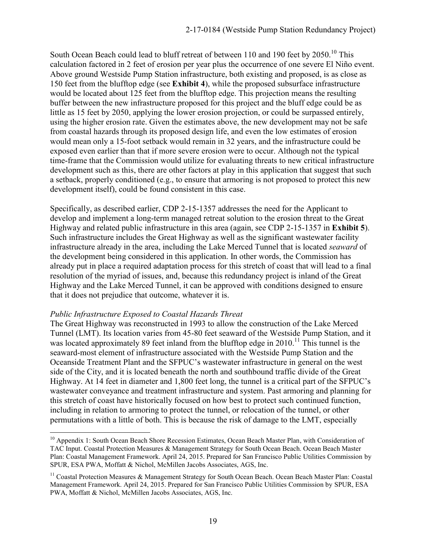South Ocean Beach could lead to bluff retreat of between 110 and 190 feet by 2050.<sup>10</sup> This calculation factored in 2 feet of erosion per year plus the occurrence of one severe El Niño event. Above ground Westside Pump Station infrastructure, both existing and proposed, is as close as 150 feet from the blufftop edge (see **Exhibit 4**), while the proposed subsurface infrastructure would be located about 125 feet from the blufftop edge. This projection means the resulting buffer between the new infrastructure proposed for this project and the bluff edge could be as little as 15 feet by 2050, applying the lower erosion projection, or could be surpassed entirely, using the higher erosion rate. Given the estimates above, the new development may not be safe from coastal hazards through its proposed design life, and even the low estimates of erosion would mean only a 15-foot setback would remain in 32 years, and the infrastructure could be exposed even earlier than that if more severe erosion were to occur. Although not the typical time-frame that the Commission would utilize for evaluating threats to new critical infrastructure development such as this, there are other factors at play in this application that suggest that such a setback, properly conditioned (e.g., to ensure that armoring is not proposed to protect this new development itself), could be found consistent in this case.

Specifically, as described earlier, CDP 2-15-1357 addresses the need for the Applicant to develop and implement a long-term managed retreat solution to the erosion threat to the Great Highway and related public infrastructure in this area (again, see CDP 2-15-1357 in **Exhibit 5**). Such infrastructure includes the Great Highway as well as the significant wastewater facility infrastructure already in the area, including the Lake Merced Tunnel that is located *seaward* of the development being considered in this application. In other words, the Commission has already put in place a required adaptation process for this stretch of coast that will lead to a final resolution of the myriad of issues, and, because this redundancy project is inland of the Great Highway and the Lake Merced Tunnel, it can be approved with conditions designed to ensure that it does not prejudice that outcome, whatever it is.

#### *Public Infrastructure Exposed to Coastal Hazards Threat*

 $\overline{a}$ 

The Great Highway was reconstructed in 1993 to allow the construction of the Lake Merced Tunnel (LMT). Its location varies from 45-80 feet seaward of the Westside Pump Station, and it was located approximately 89 feet inland from the blufftop edge in  $2010$ .<sup>11</sup> This tunnel is the seaward-most element of infrastructure associated with the Westside Pump Station and the Oceanside Treatment Plant and the SFPUC's wastewater infrastructure in general on the west side of the City, and it is located beneath the north and southbound traffic divide of the Great Highway. At 14 feet in diameter and 1,800 feet long, the tunnel is a critical part of the SFPUC's wastewater conveyance and treatment infrastructure and system. Past armoring and planning for this stretch of coast have historically focused on how best to protect such continued function, including in relation to armoring to protect the tunnel, or relocation of the tunnel, or other permutations with a little of both. This is because the risk of damage to the LMT, especially

<sup>&</sup>lt;sup>10</sup> Appendix 1: South Ocean Beach Shore Recession Estimates, Ocean Beach Master Plan, with Consideration of TAC Input. Coastal Protection Measures & Management Strategy for South Ocean Beach. Ocean Beach Master Plan: Coastal Management Framework. April 24, 2015. Prepared for San Francisco Public Utilities Commission by SPUR, ESA PWA, Moffatt & Nichol, McMillen Jacobs Associates, AGS, Inc.

<sup>&</sup>lt;sup>11</sup> Coastal Protection Measures & Management Strategy for South Ocean Beach. Ocean Beach Master Plan: Coastal Management Framework. April 24, 2015. Prepared for San Francisco Public Utilities Commission by SPUR, ESA PWA, Moffatt & Nichol, McMillen Jacobs Associates, AGS, Inc.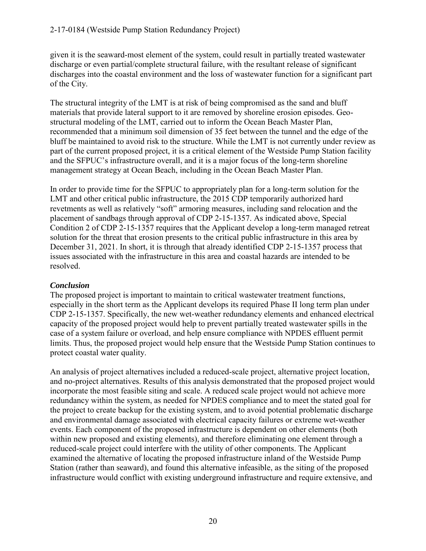given it is the seaward-most element of the system, could result in partially treated wastewater discharge or even partial/complete structural failure, with the resultant release of significant discharges into the coastal environment and the loss of wastewater function for a significant part of the City.

The structural integrity of the LMT is at risk of being compromised as the sand and bluff materials that provide lateral support to it are removed by shoreline erosion episodes. Geostructural modeling of the LMT, carried out to inform the Ocean Beach Master Plan, recommended that a minimum soil dimension of 35 feet between the tunnel and the edge of the bluff be maintained to avoid risk to the structure. While the LMT is not currently under review as part of the current proposed project, it is a critical element of the Westside Pump Station facility and the SFPUC's infrastructure overall, and it is a major focus of the long-term shoreline management strategy at Ocean Beach, including in the Ocean Beach Master Plan.

In order to provide time for the SFPUC to appropriately plan for a long-term solution for the LMT and other critical public infrastructure, the 2015 CDP temporarily authorized hard revetments as well as relatively "soft" armoring measures, including sand relocation and the placement of sandbags through approval of CDP 2-15-1357. As indicated above, Special Condition 2 of CDP 2-15-1357 requires that the Applicant develop a long-term managed retreat solution for the threat that erosion presents to the critical public infrastructure in this area by December 31, 2021. In short, it is through that already identified CDP 2-15-1357 process that issues associated with the infrastructure in this area and coastal hazards are intended to be resolved.

#### *Conclusion*

The proposed project is important to maintain to critical wastewater treatment functions, especially in the short term as the Applicant develops its required Phase II long term plan under CDP 2-15-1357. Specifically, the new wet-weather redundancy elements and enhanced electrical capacity of the proposed project would help to prevent partially treated wastewater spills in the case of a system failure or overload, and help ensure compliance with NPDES effluent permit limits. Thus, the proposed project would help ensure that the Westside Pump Station continues to protect coastal water quality.

An analysis of project alternatives included a reduced-scale project, alternative project location, and no-project alternatives. Results of this analysis demonstrated that the proposed project would incorporate the most feasible siting and scale. A reduced scale project would not achieve more redundancy within the system, as needed for NPDES compliance and to meet the stated goal for the project to create backup for the existing system, and to avoid potential problematic discharge and environmental damage associated with electrical capacity failures or extreme wet-weather events. Each component of the proposed infrastructure is dependent on other elements (both within new proposed and existing elements), and therefore eliminating one element through a reduced-scale project could interfere with the utility of other components. The Applicant examined the alternative of locating the proposed infrastructure inland of the Westside Pump Station (rather than seaward), and found this alternative infeasible, as the siting of the proposed infrastructure would conflict with existing underground infrastructure and require extensive, and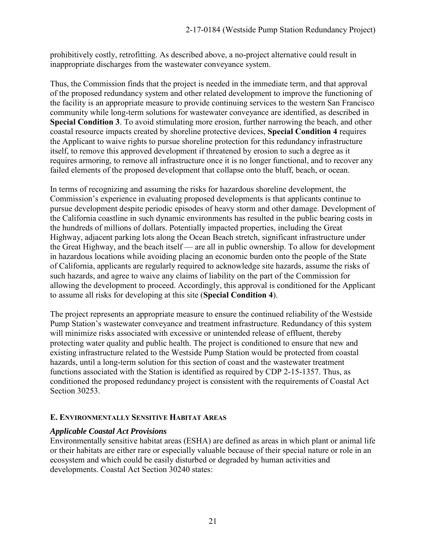prohibitively costly, retrofitting. As described above, a no-project alternative could result in inappropriate discharges from the wastewater conveyance system.

Thus, the Commission finds that the project is needed in the immediate term, and that approval of the proposed redundancy system and other related development to improve the functioning of the facility is an appropriate measure to provide continuing services to the western San Francisco community while long-term solutions for wastewater conveyance are identified, as described in **Special Condition 3**. To avoid stimulating more erosion, further narrowing the beach, and other coastal resource impacts created by shoreline protective devices, **Special Condition 4** requires the Applicant to waive rights to pursue shoreline protection for this redundancy infrastructure itself, to remove this approved development if threatened by erosion to such a degree as it requires armoring, to remove all infrastructure once it is no longer functional, and to recover any failed elements of the proposed development that collapse onto the bluff, beach, or ocean.

In terms of recognizing and assuming the risks for hazardous shoreline development, the Commission's experience in evaluating proposed developments is that applicants continue to pursue development despite periodic episodes of heavy storm and other damage. Development of the California coastline in such dynamic environments has resulted in the public bearing costs in the hundreds of millions of dollars. Potentially impacted properties, including the Great Highway, adjacent parking lots along the Ocean Beach stretch, significant infrastructure under the Great Highway, and the beach itself — are all in public ownership. To allow for development in hazardous locations while avoiding placing an economic burden onto the people of the State of California, applicants are regularly required to acknowledge site hazards, assume the risks of such hazards, and agree to waive any claims of liability on the part of the Commission for allowing the development to proceed. Accordingly, this approval is conditioned for the Applicant to assume all risks for developing at this site (**Special Condition 4**).

The project represents an appropriate measure to ensure the continued reliability of the Westside Pump Station's wastewater conveyance and treatment infrastructure. Redundancy of this system will minimize risks associated with excessive or unintended release of effluent, thereby protecting water quality and public health. The project is conditioned to ensure that new and existing infrastructure related to the Westside Pump Station would be protected from coastal hazards, until a long-term solution for this section of coast and the wastewater treatment functions associated with the Station is identified as required by CDP 2-15-1357. Thus, as conditioned the proposed redundancy project is consistent with the requirements of Coastal Act Section 30253.

#### **E. ENVIRONMENTALLY SENSITIVE HABITAT AREAS**

#### *Applicable Coastal Act Provisions*

Environmentally sensitive habitat areas (ESHA) are defined as areas in which plant or animal life or their habitats are either rare or especially valuable because of their special nature or role in an ecosystem and which could be easily disturbed or degraded by human activities and developments. Coastal Act Section 30240 states: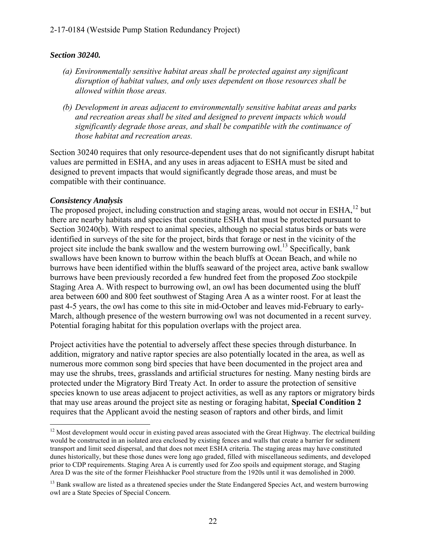#### *Section 30240.*

- *(a) Environmentally sensitive habitat areas shall be protected against any significant disruption of habitat values, and only uses dependent on those resources shall be allowed within those areas.*
- *(b) Development in areas adjacent to environmentally sensitive habitat areas and parks and recreation areas shall be sited and designed to prevent impacts which would significantly degrade those areas, and shall be compatible with the continuance of those habitat and recreation areas.*

Section 30240 requires that only resource-dependent uses that do not significantly disrupt habitat values are permitted in ESHA, and any uses in areas adjacent to ESHA must be sited and designed to prevent impacts that would significantly degrade those areas, and must be compatible with their continuance.

#### *Consistency Analysis*

The proposed project, including construction and staging areas, would not occur in ESHA,<sup>12</sup> but there are nearby habitats and species that constitute ESHA that must be protected pursuant to Section 30240(b). With respect to animal species, although no special status birds or bats were identified in surveys of the site for the project, birds that forage or nest in the vicinity of the project site include the bank swallow and the western burrowing owl.<sup>13</sup> Specifically, bank swallows have been known to burrow within the beach bluffs at Ocean Beach, and while no burrows have been identified within the bluffs seaward of the project area, active bank swallow burrows have been previously recorded a few hundred feet from the proposed Zoo stockpile Staging Area A. With respect to burrowing owl, an owl has been documented using the bluff area between 600 and 800 feet southwest of Staging Area A as a winter roost. For at least the past 4-5 years, the owl has come to this site in mid-October and leaves mid-February to early-March, although presence of the western burrowing owl was not documented in a recent survey. Potential foraging habitat for this population overlaps with the project area.

Project activities have the potential to adversely affect these species through disturbance. In addition, migratory and native raptor species are also potentially located in the area, as well as numerous more common song bird species that have been documented in the project area and may use the shrubs, trees, grasslands and artificial structures for nesting. Many nesting birds are protected under the Migratory Bird Treaty Act. In order to assure the protection of sensitive species known to use areas adjacent to project activities, as well as any raptors or migratory birds that may use areas around the project site as nesting or foraging habitat, **Special Condition 2** requires that the Applicant avoid the nesting season of raptors and other birds, and limit

 $\overline{a}$  $12$  Most development would occur in existing paved areas associated with the Great Highway. The electrical building would be constructed in an isolated area enclosed by existing fences and walls that create a barrier for sediment transport and limit seed dispersal, and that does not meet ESHA criteria. The staging areas may have constituted dunes historically, but these those dunes were long ago graded, filled with miscellaneous sediments, and developed prior to CDP requirements. Staging Area A is currently used for Zoo spoils and equipment storage, and Staging Area D was the site of the former Fleishhacker Pool structure from the 1920s until it was demolished in 2000.

<sup>&</sup>lt;sup>13</sup> Bank swallow are listed as a threatened species under the State Endangered Species Act, and western burrowing owl are a State Species of Special Concern.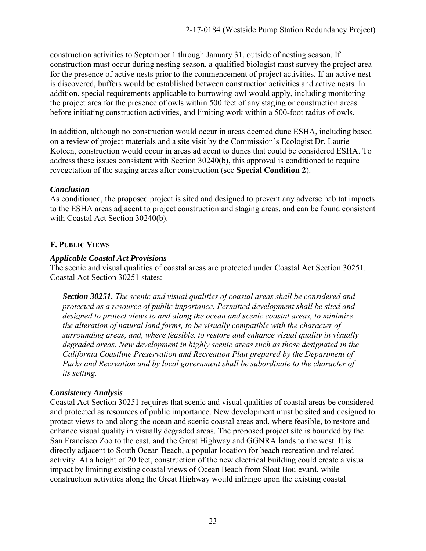construction activities to September 1 through January 31, outside of nesting season. If construction must occur during nesting season, a qualified biologist must survey the project area for the presence of active nests prior to the commencement of project activities. If an active nest is discovered, buffers would be established between construction activities and active nests. In addition, special requirements applicable to burrowing owl would apply, including monitoring the project area for the presence of owls within 500 feet of any staging or construction areas before initiating construction activities, and limiting work within a 500-foot radius of owls.

In addition, although no construction would occur in areas deemed dune ESHA, including based on a review of project materials and a site visit by the Commission's Ecologist Dr. Laurie Koteen, construction would occur in areas adjacent to dunes that could be considered ESHA. To address these issues consistent with Section 30240(b), this approval is conditioned to require revegetation of the staging areas after construction (see **Special Condition 2**).

#### *Conclusion*

As conditioned, the proposed project is sited and designed to prevent any adverse habitat impacts to the ESHA areas adjacent to project construction and staging areas, and can be found consistent with Coastal Act Section 30240(b).

#### **F. PUBLIC VIEWS**

#### *Applicable Coastal Act Provisions*

The scenic and visual qualities of coastal areas are protected under Coastal Act Section 30251. Coastal Act Section 30251 states:

*Section 30251. The scenic and visual qualities of coastal areas shall be considered and protected as a resource of public importance. Permitted development shall be sited and designed to protect views to and along the ocean and scenic coastal areas, to minimize the alteration of natural land forms, to be visually compatible with the character of surrounding areas, and, where feasible, to restore and enhance visual quality in visually degraded areas. New development in highly scenic areas such as those designated in the California Coastline Preservation and Recreation Plan prepared by the Department of Parks and Recreation and by local government shall be subordinate to the character of its setting.* 

#### *Consistency Analysis*

Coastal Act Section 30251 requires that scenic and visual qualities of coastal areas be considered and protected as resources of public importance. New development must be sited and designed to protect views to and along the ocean and scenic coastal areas and, where feasible, to restore and enhance visual quality in visually degraded areas. The proposed project site is bounded by the San Francisco Zoo to the east, and the Great Highway and GGNRA lands to the west. It is directly adjacent to South Ocean Beach, a popular location for beach recreation and related activity. At a height of 20 feet, construction of the new electrical building could create a visual impact by limiting existing coastal views of Ocean Beach from Sloat Boulevard, while construction activities along the Great Highway would infringe upon the existing coastal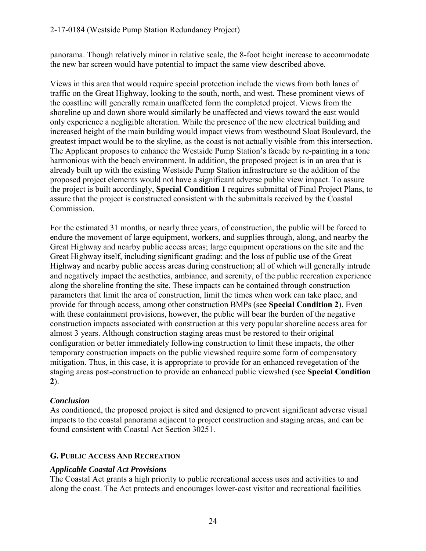panorama. Though relatively minor in relative scale, the 8-foot height increase to accommodate the new bar screen would have potential to impact the same view described above.

Views in this area that would require special protection include the views from both lanes of traffic on the Great Highway, looking to the south, north, and west. These prominent views of the coastline will generally remain unaffected form the completed project. Views from the shoreline up and down shore would similarly be unaffected and views toward the east would only experience a negligible alteration. While the presence of the new electrical building and increased height of the main building would impact views from westbound Sloat Boulevard, the greatest impact would be to the skyline, as the coast is not actually visible from this intersection. The Applicant proposes to enhance the Westside Pump Station's facade by re-painting in a tone harmonious with the beach environment. In addition, the proposed project is in an area that is already built up with the existing Westside Pump Station infrastructure so the addition of the proposed project elements would not have a significant adverse public view impact. To assure the project is built accordingly, **Special Condition 1** requires submittal of Final Project Plans, to assure that the project is constructed consistent with the submittals received by the Coastal Commission.

For the estimated 31 months, or nearly three years, of construction, the public will be forced to endure the movement of large equipment, workers, and supplies through, along, and nearby the Great Highway and nearby public access areas; large equipment operations on the site and the Great Highway itself, including significant grading; and the loss of public use of the Great Highway and nearby public access areas during construction; all of which will generally intrude and negatively impact the aesthetics, ambiance, and serenity, of the public recreation experience along the shoreline fronting the site. These impacts can be contained through construction parameters that limit the area of construction, limit the times when work can take place, and provide for through access, among other construction BMPs (see **Special Condition 2**). Even with these containment provisions, however, the public will bear the burden of the negative construction impacts associated with construction at this very popular shoreline access area for almost 3 years. Although construction staging areas must be restored to their original configuration or better immediately following construction to limit these impacts, the other temporary construction impacts on the public viewshed require some form of compensatory mitigation. Thus, in this case, it is appropriate to provide for an enhanced revegetation of the staging areas post-construction to provide an enhanced public viewshed (see **Special Condition 2**).

#### *Conclusion*

As conditioned, the proposed project is sited and designed to prevent significant adverse visual impacts to the coastal panorama adjacent to project construction and staging areas, and can be found consistent with Coastal Act Section 30251.

#### **G. PUBLIC ACCESS AND RECREATION**

#### *Applicable Coastal Act Provisions*

The Coastal Act grants a high priority to public recreational access uses and activities to and along the coast. The Act protects and encourages lower-cost visitor and recreational facilities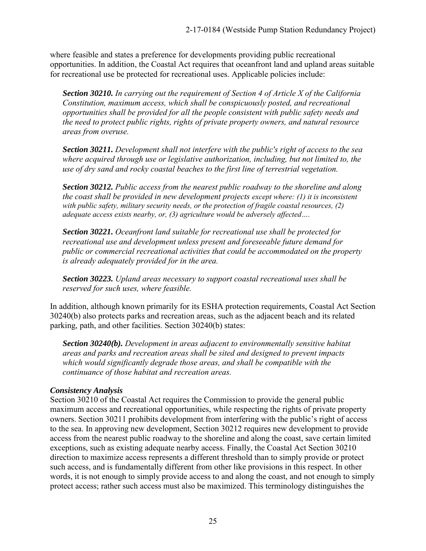where feasible and states a preference for developments providing public recreational opportunities. In addition, the Coastal Act requires that oceanfront land and upland areas suitable for recreational use be protected for recreational uses. Applicable policies include:

*Section 30210. In carrying out the requirement of Section 4 of Article X of the California Constitution, maximum access, which shall be conspicuously posted, and recreational opportunities shall be provided for all the people consistent with public safety needs and the need to protect public rights, rights of private property owners, and natural resource areas from overuse.* 

*Section 30211. Development shall not interfere with the public's right of access to the sea where acquired through use or legislative authorization, including, but not limited to, the use of dry sand and rocky coastal beaches to the first line of terrestrial vegetation.* 

*Section 30212. Public access from the nearest public roadway to the shoreline and along the coast shall be provided in new development projects except where: (1) it is inconsistent with public safety, military security needs, or the protection of fragile coastal resources, (2) adequate access exists nearby, or, (3) agriculture would be adversely affected….*

*Section 30221. Oceanfront land suitable for recreational use shall be protected for recreational use and development unless present and foreseeable future demand for public or commercial recreational activities that could be accommodated on the property is already adequately provided for in the area.* 

*Section 30223. Upland areas necessary to support coastal recreational uses shall be reserved for such uses, where feasible.* 

In addition, although known primarily for its ESHA protection requirements, Coastal Act Section 30240(b) also protects parks and recreation areas, such as the adjacent beach and its related parking, path, and other facilities. Section 30240(b) states:

*Section 30240(b). Development in areas adjacent to environmentally sensitive habitat areas and parks and recreation areas shall be sited and designed to prevent impacts which would significantly degrade those areas, and shall be compatible with the continuance of those habitat and recreation areas.* 

#### *Consistency Analysis*

Section 30210 of the Coastal Act requires the Commission to provide the general public maximum access and recreational opportunities, while respecting the rights of private property owners. Section 30211 prohibits development from interfering with the public's right of access to the sea. In approving new development, Section 30212 requires new development to provide access from the nearest public roadway to the shoreline and along the coast, save certain limited exceptions, such as existing adequate nearby access. Finally, the Coastal Act Section 30210 direction to maximize access represents a different threshold than to simply provide or protect such access, and is fundamentally different from other like provisions in this respect. In other words, it is not enough to simply provide access to and along the coast, and not enough to simply protect access; rather such access must also be maximized. This terminology distinguishes the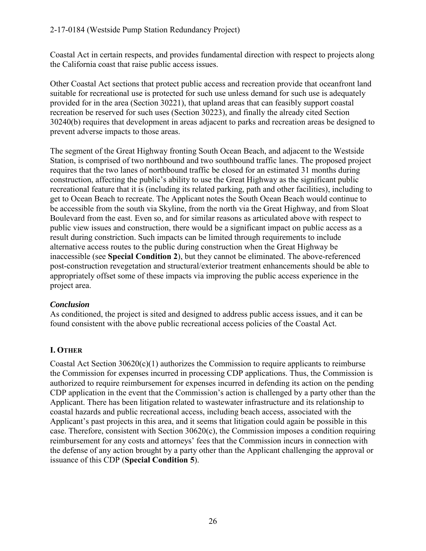Coastal Act in certain respects, and provides fundamental direction with respect to projects along the California coast that raise public access issues.

Other Coastal Act sections that protect public access and recreation provide that oceanfront land suitable for recreational use is protected for such use unless demand for such use is adequately provided for in the area (Section 30221), that upland areas that can feasibly support coastal recreation be reserved for such uses (Section 30223), and finally the already cited Section 30240(b) requires that development in areas adjacent to parks and recreation areas be designed to prevent adverse impacts to those areas.

The segment of the Great Highway fronting South Ocean Beach, and adjacent to the Westside Station, is comprised of two northbound and two southbound traffic lanes. The proposed project requires that the two lanes of northbound traffic be closed for an estimated 31 months during construction, affecting the public's ability to use the Great Highway as the significant public recreational feature that it is (including its related parking, path and other facilities), including to get to Ocean Beach to recreate. The Applicant notes the South Ocean Beach would continue to be accessible from the south via Skyline, from the north via the Great Highway, and from Sloat Boulevard from the east. Even so, and for similar reasons as articulated above with respect to public view issues and construction, there would be a significant impact on public access as a result during constriction. Such impacts can be limited through requirements to include alternative access routes to the public during construction when the Great Highway be inaccessible (see **Special Condition 2**), but they cannot be eliminated. The above-referenced post-construction revegetation and structural/exterior treatment enhancements should be able to appropriately offset some of these impacts via improving the public access experience in the project area.

#### *Conclusion*

As conditioned, the project is sited and designed to address public access issues, and it can be found consistent with the above public recreational access policies of the Coastal Act.

# **I. OTHER**

Coastal Act Section 30620(c)(1) authorizes the Commission to require applicants to reimburse the Commission for expenses incurred in processing CDP applications. Thus, the Commission is authorized to require reimbursement for expenses incurred in defending its action on the pending CDP application in the event that the Commission's action is challenged by a party other than the Applicant. There has been litigation related to wastewater infrastructure and its relationship to coastal hazards and public recreational access, including beach access, associated with the Applicant's past projects in this area, and it seems that litigation could again be possible in this case. Therefore, consistent with Section 30620(c), the Commission imposes a condition requiring reimbursement for any costs and attorneys' fees that the Commission incurs in connection with the defense of any action brought by a party other than the Applicant challenging the approval or issuance of this CDP (**Special Condition 5**).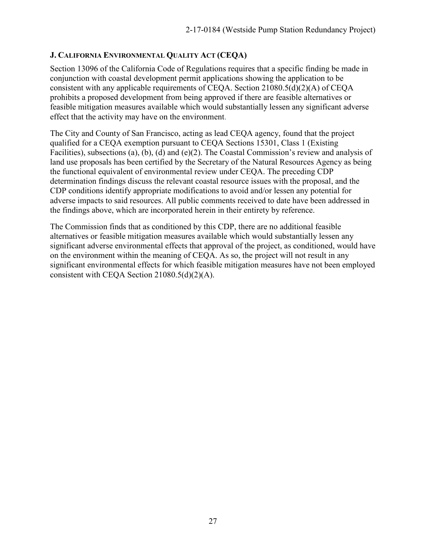#### **J. CALIFORNIA ENVIRONMENTAL QUALITY ACT (CEQA)**

Section 13096 of the California Code of Regulations requires that a specific finding be made in conjunction with coastal development permit applications showing the application to be consistent with any applicable requirements of CEQA. Section 21080.5(d)(2)(A) of CEQA prohibits a proposed development from being approved if there are feasible alternatives or feasible mitigation measures available which would substantially lessen any significant adverse effect that the activity may have on the environment.

The City and County of San Francisco, acting as lead CEQA agency, found that the project qualified for a CEQA exemption pursuant to CEQA Sections 15301, Class 1 (Existing Facilities), subsections (a), (b), (d) and (e)(2). The Coastal Commission's review and analysis of land use proposals has been certified by the Secretary of the Natural Resources Agency as being the functional equivalent of environmental review under CEQA. The preceding CDP determination findings discuss the relevant coastal resource issues with the proposal, and the CDP conditions identify appropriate modifications to avoid and/or lessen any potential for adverse impacts to said resources. All public comments received to date have been addressed in the findings above, which are incorporated herein in their entirety by reference.

The Commission finds that as conditioned by this CDP, there are no additional feasible alternatives or feasible mitigation measures available which would substantially lessen any significant adverse environmental effects that approval of the project, as conditioned, would have on the environment within the meaning of CEQA. As so, the project will not result in any significant environmental effects for which feasible mitigation measures have not been employed consistent with CEQA Section 21080.5(d)(2)(A).